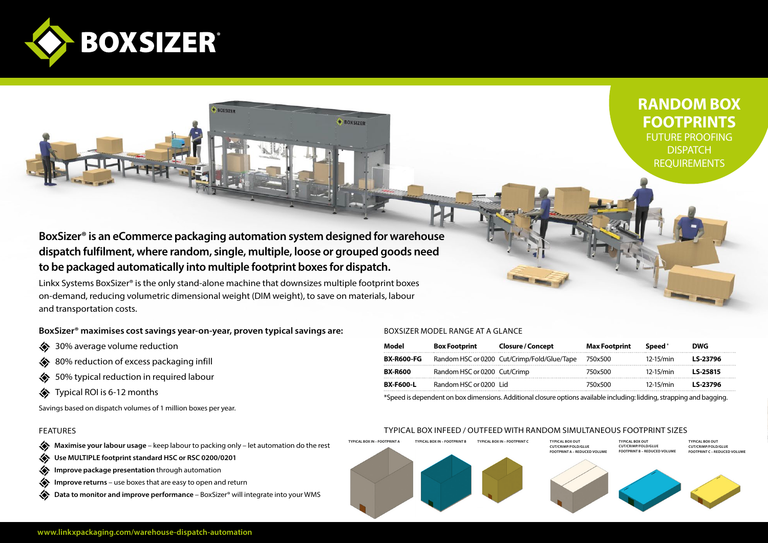

**RANDOM BOX FOOTPRINTS** FUTURE PROOFING **DISPATCH** 

REQUIREMENTS

**BoxSizer® is an eCommerce packaging automation system designed for warehouse dispatch fulfilment, where random, single, multiple, loose or grouped goods need to be packaged automatically into multiple footprint boxes for dispatch.**

**BOXSIZER** 

Linkx Systems BoxSizer® is the only stand-alone machine that downsizes multiple footprint boxes on-demand, reducing volumetric dimensional weight (DIM weight), to save on materials, labour and transportation costs.

### **BoxSizer® maximises cost savings year-on-year, proven typical savings are:**

- ◈ 30% average volume reduction
- ◈ 80% reduction of excess packaging infill
- ◈ 50% typical reduction in required labour
- Typical ROI is 6-12 months

Savings based on dispatch volumes of 1 million boxes per year.

### FEATURES

- **Maximise your labour usage** keep labour to packing only let automation do the rest
- ◈ **Use MULTIPLE footprint standard HSC or RSC 0200/0201**
- **Improve package presentation** through automation
- **Improve returns** use boxes that are easy to open and return
- ◈ **Data to monitor and improve performance** – BoxSizer® will integrate into your WMS

### BOXSIZER MODEL RANGE AT A GLANCE

| Model             | <b>Box Footprint</b>         | <b>Closure / Concept</b>                    | <b>Max Footprint</b> | Speed ®     | <b>DWG</b> |
|-------------------|------------------------------|---------------------------------------------|----------------------|-------------|------------|
| <b>BX-R600-FG</b> |                              | Random HSC or 0200 Cut/Crimp/Fold/Glue/Tape | 750x500              | $12-15/min$ | LS-23796   |
| <b>BX-R600</b>    | Random HSC or 0200 Cut/Crimp |                                             | 750x500              | $12-15/min$ | LS-25815   |
| <b>BX-F600-L</b>  | Random HSC or 0200 Lid       |                                             | 750x500              | $12-15/min$ | LS-23796   |
|                   |                              |                                             |                      |             |            |

\*Speed is dependent on box dimensions. Additional closure options available including: lidding, strapping and bagging.

### TYPICAL BOX INFEED / OUTFEED WITH RANDOM SIMULTANEOUS FOOTPRINT SIZES



### **www.linkxpackaging.com/warehouse-dispatch-automation**